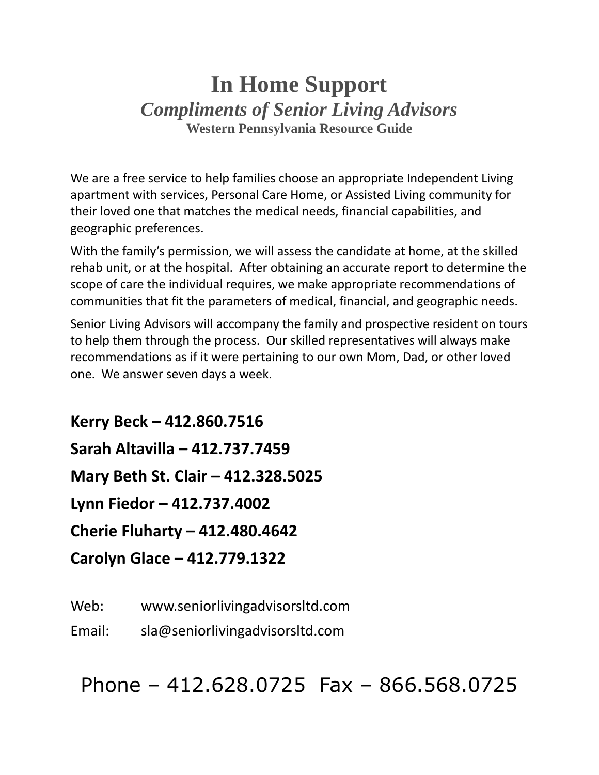# **In Home Support** *Compliments of Senior Living Advisors* **Western Pennsylvania Resource Guide**

We are a free service to help families choose an appropriate Independent Living apartment with services, Personal Care Home, or Assisted Living community for their loved one that matches the medical needs, financial capabilities, and geographic preferences.

With the family's permission, we will assess the candidate at home, at the skilled rehab unit, or at the hospital. After obtaining an accurate report to determine the scope of care the individual requires, we make appropriate recommendations of communities that fit the parameters of medical, financial, and geographic needs.

Senior Living Advisors will accompany the family and prospective resident on tours to help them through the process. Our skilled representatives will always make recommendations as if it were pertaining to our own Mom, Dad, or other loved one. We answer seven days a week.

**Kerry Beck – 412.860.7516 Sarah Altavilla – 412.737.7459 Mary Beth St. Clair – 412.328.5025 Lynn Fiedor – 412.737.4002 Cherie Fluharty – 412.480.4642 Carolyn Glace – 412.779.1322**

Web: www.seniorlivingadvisorsltd.com

Email: sla@seniorlivingadvisorsltd.com

Phone – 412.628.0725 Fax – 866.568.0725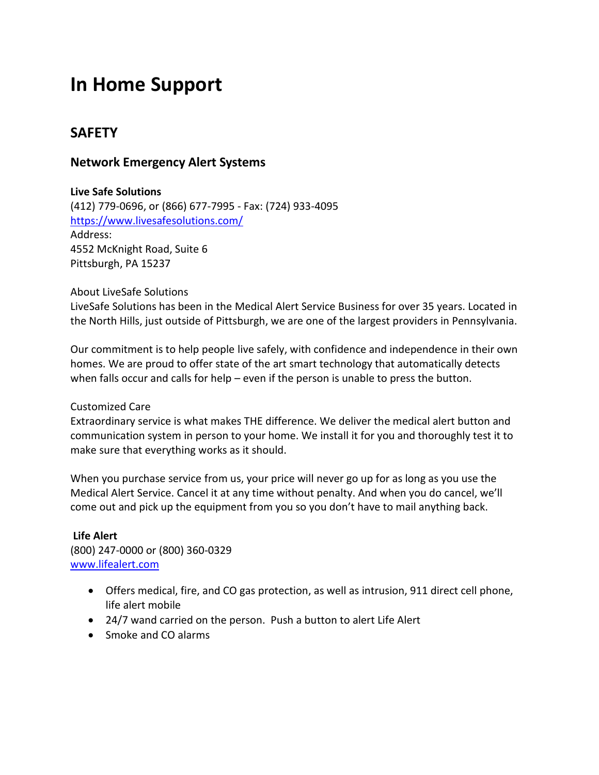# **In Home Support**

# **SAFETY**

# **Network Emergency Alert Systems**

#### **Live Safe Solutions**

(412) 779-0696, or (866) 677-7995 - Fax: (724) 933-4095 <https://www.livesafesolutions.com/> Address: 4552 McKnight Road, Suite 6 Pittsburgh, PA 15237

#### About LiveSafe Solutions

LiveSafe Solutions has been in the Medical Alert Service Business for over 35 years. Located in the North Hills, just outside of Pittsburgh, we are one of the largest providers in Pennsylvania.

Our commitment is to help people live safely, with confidence and independence in their own homes. We are proud to offer state of the art smart technology that automatically detects when falls occur and calls for help – even if the person is unable to press the button.

#### Customized Care

Extraordinary service is what makes THE difference. We deliver the medical alert button and communication system in person to your home. We install it for you and thoroughly test it to make sure that everything works as it should.

When you purchase service from us, your price will never go up for as long as you use the Medical Alert Service. Cancel it at any time without penalty. And when you do cancel, we'll come out and pick up the equipment from you so you don't have to mail anything back.

## **Life Alert** (800) 247-0000 or (800) 360-0329 [www.lifealert.com](http://www.lifealert.com/)

- Offers medical, fire, and CO gas protection, as well as intrusion, 911 direct cell phone, life alert mobile
- 24/7 wand carried on the person. Push a button to alert Life Alert
- Smoke and CO alarms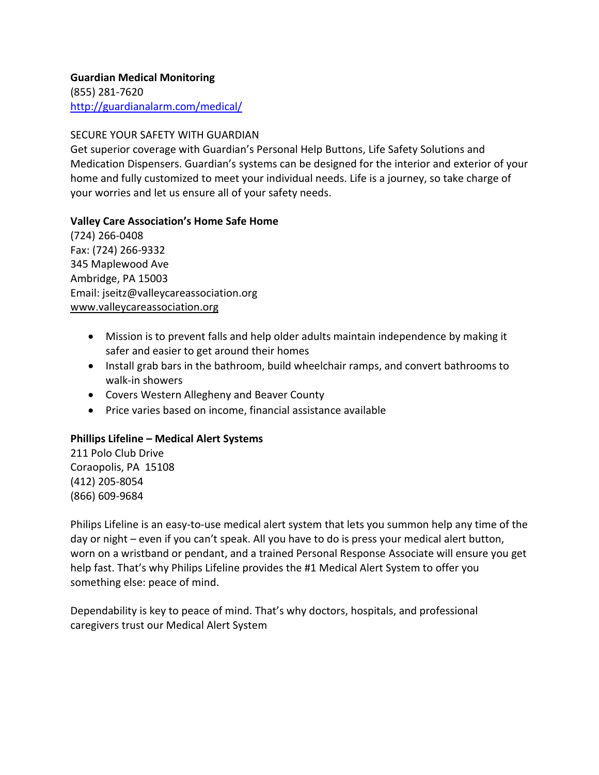#### **Guardian Medical Monitoring** (855) 281-7620 <http://guardianalarm.com/medical/>

## SECURE YOUR SAFETY WITH GUARDIAN

Get superior coverage with Guardian's Personal Help Buttons, Life Safety Solutions and Medication Dispensers. Guardian's systems can be designed for the interior and exterior of your home and fully customized to meet your individual needs. Life is a journey, so take charge of your worries and let us ensure all of your safety needs.

## **Valley Care Association's Home Safe Home**

(724) 266-0408 Fax: (724) 266-9332 345 Maplewood Ave Ambridge, PA 15003 Email: jseitz@valleycareassociation.org [www.valleycareassociation.org](http://www.valleycareassociation.org/)

- Mission is to prevent falls and help older adults maintain independence by making it safer and easier to get around their homes
- Install grab bars in the bathroom, build wheelchair ramps, and convert bathrooms to walk-in showers
- Covers Western Allegheny and Beaver County
- Price varies based on income, financial assistance available

## **Phillips Lifeline – Medical Alert Systems**

211 Polo Club Drive Coraopolis, PA 15108 (412) 205-8054 (866) 609-9684

Philips Lifeline is an easy-to-use medical alert system that lets you summon help any time of the day or night – even if you can't speak. All you have to do is press your medical alert button, worn on a wristband or pendant, and a trained Personal Response Associate will ensure you get help fast. That's why Philips Lifeline provides the #1 Medical Alert System to offer you something else: peace of mind.

Dependability is key to peace of mind. That's why doctors, hospitals, and professional caregivers trust our Medical Alert System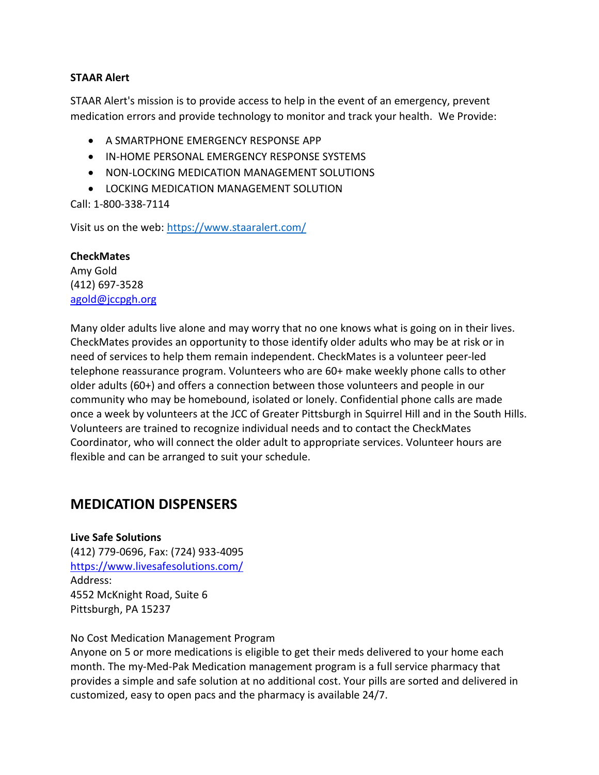#### **STAAR Alert**

STAAR Alert's mission is to provide access to help in the event of an emergency, prevent medication errors and provide technology to monitor and track your health. We Provide:

- A SMARTPHONE EMERGENCY RESPONSE APP
- IN-HOME PERSONAL EMERGENCY RESPONSE SYSTEMS
- NON-LOCKING MEDICATION MANAGEMENT SOLUTIONS
- LOCKING MEDICATION MANAGEMENT SOLUTION

Call: 1-800-338-7114

Visit us on the web:<https://www.staaralert.com/>

**CheckMates** Amy Gold (412) 697-3528 [agold@jccpgh.org](mailto:agold@jccpgh.org)

Many older adults live alone and may worry that no one knows what is going on in their lives. CheckMates provides an opportunity to those identify older adults who may be at risk or in need of services to help them remain independent. CheckMates is a volunteer peer-led telephone reassurance program. Volunteers who are 60+ make weekly phone calls to other older adults (60+) and offers a connection between those volunteers and people in our community who may be homebound, isolated or lonely. Confidential phone calls are made once a week by volunteers at the JCC of Greater Pittsburgh in Squirrel Hill and in the South Hills. Volunteers are trained to recognize individual needs and to contact the CheckMates Coordinator, who will connect the older adult to appropriate services. Volunteer hours are flexible and can be arranged to suit your schedule.

# **MEDICATION DISPENSERS**

**Live Safe Solutions** (412) 779-0696, Fax: (724) 933-4095 <https://www.livesafesolutions.com/> Address: 4552 McKnight Road, Suite 6 Pittsburgh, PA 15237

#### No Cost Medication Management Program

Anyone on 5 or more medications is eligible to get their meds delivered to your home each month. The my-Med-Pak Medication management program is a full service pharmacy that provides a simple and safe solution at no additional cost. Your pills are sorted and delivered in customized, easy to open pacs and the pharmacy is available 24/7.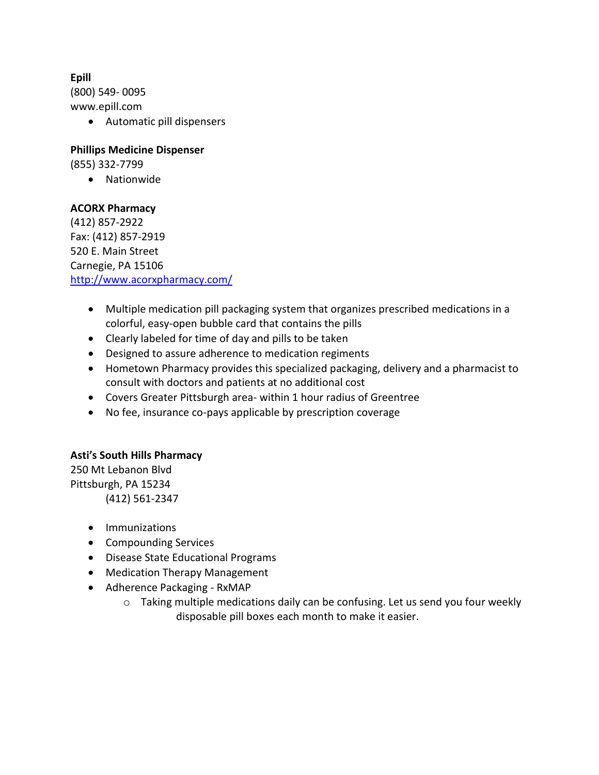**Epill**

(800) 549- 0095 www.epill.com

• Automatic pill dispensers

**Phillips Medicine Dispenser**

(855) 332-7799

• Nationwide

## **ACORX Pharmacy**

(412) 857-2922 Fax: (412) 857-2919 520 E. Main Street Carnegie, PA 15106 <http://www.acorxpharmacy.com/>

- Multiple medication pill packaging system that organizes prescribed medications in a colorful, easy-open bubble card that contains the pills
- Clearly labeled for time of day and pills to be taken
- Designed to assure adherence to medication regiments
- Hometown Pharmacy provides this specialized packaging, delivery and a pharmacist to consult with doctors and patients at no additional cost
- Covers Greater Pittsburgh area- within 1 hour radius of Greentree
- No fee, insurance co-pays applicable by prescription coverage

## **Asti's South Hills Pharmacy**

250 Mt Lebanon Blvd Pittsburgh, PA 15234 (412) 561-2347

- Immunizations
- Compounding Services
- Disease State Educational Programs
- Medication Therapy Management
- Adherence Packaging RxMAP
	- o Taking multiple medications daily can be confusing. Let us send you four weekly disposable pill boxes each month to make it easier.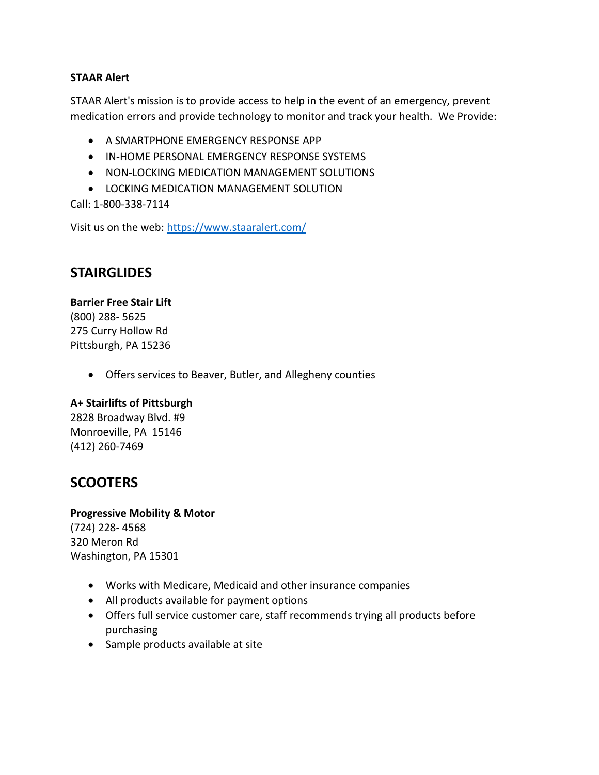#### **STAAR Alert**

STAAR Alert's mission is to provide access to help in the event of an emergency, prevent medication errors and provide technology to monitor and track your health. We Provide:

- A SMARTPHONE EMERGENCY RESPONSE APP
- IN-HOME PERSONAL EMERGENCY RESPONSE SYSTEMS
- NON-LOCKING MEDICATION MANAGEMENT SOLUTIONS
- LOCKING MEDICATION MANAGEMENT SOLUTION

Call: 1-800-338-7114

Visit us on the web:<https://www.staaralert.com/>

# **STAIRGLIDES**

**Barrier Free Stair Lift** (800) 288- 5625 275 Curry Hollow Rd Pittsburgh, PA 15236

• Offers services to Beaver, Butler, and Allegheny counties

## **A+ Stairlifts of Pittsburgh**

2828 Broadway Blvd. #9 Monroeville, PA 15146 (412) 260-7469

# **SCOOTERS**

**Progressive Mobility & Motor**

(724) 228- 4568 320 Meron Rd Washington, PA 15301

- Works with Medicare, Medicaid and other insurance companies
- All products available for payment options
- Offers full service customer care, staff recommends trying all products before purchasing
- Sample products available at site